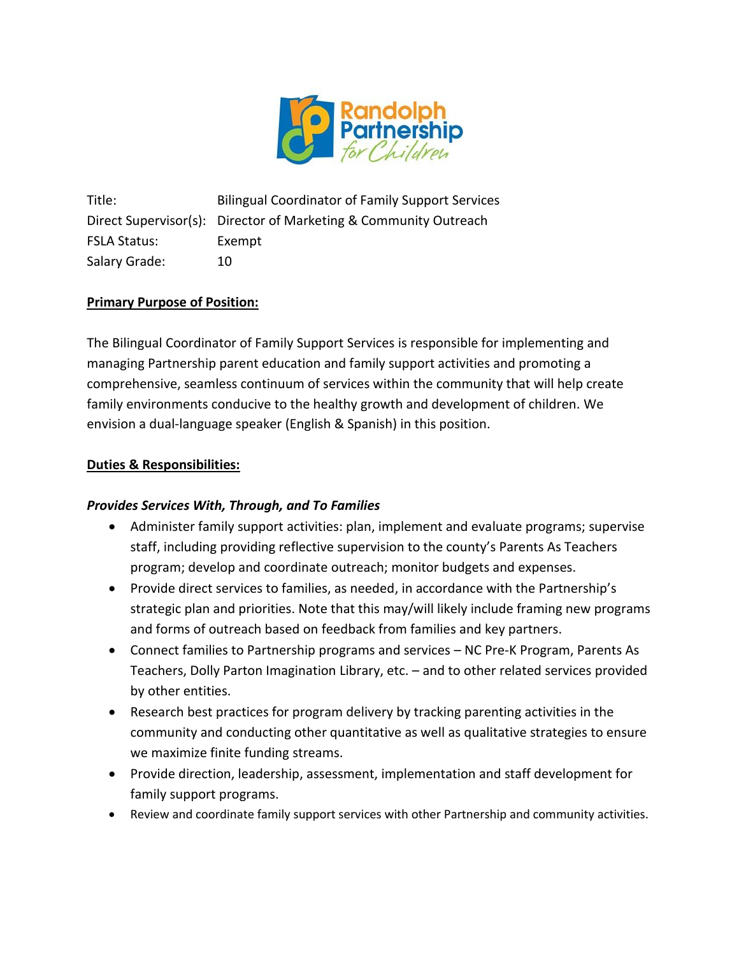

Title: Bilingual Coordinator of Family Support Services Direct Supervisor(s): Director of Marketing & Community Outreach FSLA Status: Exempt Salary Grade: 10

# **Primary Purpose of Position:**

The Bilingual Coordinator of Family Support Services is responsible for implementing and managing Partnership parent education and family support activities and promoting a comprehensive, seamless continuum of services within the community that will help create family environments conducive to the healthy growth and development of children. We envision a dual-language speaker (English & Spanish) in this position.

## **Duties & Responsibilities:**

## *Provides Services With, Through, and To Families*

- Administer family support activities: plan, implement and evaluate programs; supervise staff, including providing reflective supervision to the county's Parents As Teachers program; develop and coordinate outreach; monitor budgets and expenses.
- Provide direct services to families, as needed, in accordance with the Partnership's strategic plan and priorities. Note that this may/will likely include framing new programs and forms of outreach based on feedback from families and key partners.
- Connect families to Partnership programs and services NC Pre-K Program, Parents As Teachers, Dolly Parton Imagination Library, etc. – and to other related services provided by other entities.
- Research best practices for program delivery by tracking parenting activities in the community and conducting other quantitative as well as qualitative strategies to ensure we maximize finite funding streams.
- Provide direction, leadership, assessment, implementation and staff development for family support programs.
- Review and coordinate family support services with other Partnership and community activities.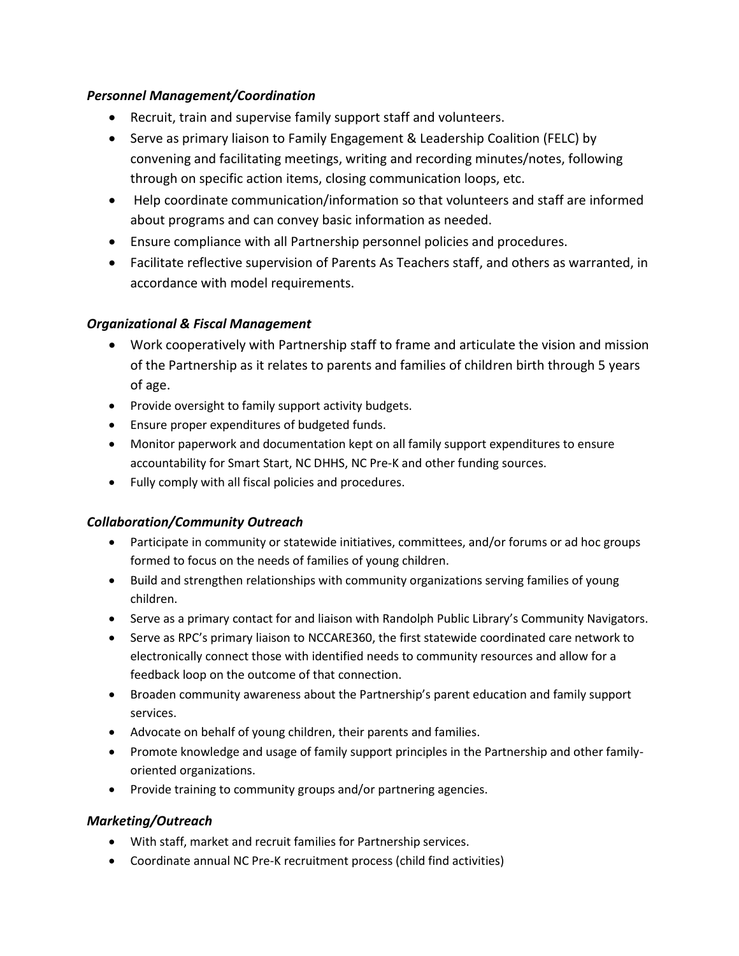## *Personnel Management/Coordination*

- Recruit, train and supervise family support staff and volunteers.
- Serve as primary liaison to Family Engagement & Leadership Coalition (FELC) by convening and facilitating meetings, writing and recording minutes/notes, following through on specific action items, closing communication loops, etc.
- Help coordinate communication/information so that volunteers and staff are informed about programs and can convey basic information as needed.
- Ensure compliance with all Partnership personnel policies and procedures.
- Facilitate reflective supervision of Parents As Teachers staff, and others as warranted, in accordance with model requirements.

# *Organizational & Fiscal Management*

- Work cooperatively with Partnership staff to frame and articulate the vision and mission of the Partnership as it relates to parents and families of children birth through 5 years of age.
- Provide oversight to family support activity budgets.
- Ensure proper expenditures of budgeted funds.
- Monitor paperwork and documentation kept on all family support expenditures to ensure accountability for Smart Start, NC DHHS, NC Pre-K and other funding sources.
- Fully comply with all fiscal policies and procedures.

# *Collaboration/Community Outreach*

- Participate in community or statewide initiatives, committees, and/or forums or ad hoc groups formed to focus on the needs of families of young children.
- Build and strengthen relationships with community organizations serving families of young children.
- Serve as a primary contact for and liaison with Randolph Public Library's Community Navigators.
- Serve as RPC's primary liaison to NCCARE360, the first statewide coordinated care network to electronically connect those with identified needs to community resources and allow for a feedback loop on the outcome of that connection.
- Broaden community awareness about the Partnership's parent education and family support services.
- Advocate on behalf of young children, their parents and families.
- Promote knowledge and usage of family support principles in the Partnership and other familyoriented organizations.
- Provide training to community groups and/or partnering agencies.

# *Marketing/Outreach*

- With staff, market and recruit families for Partnership services.
- Coordinate annual NC Pre-K recruitment process (child find activities)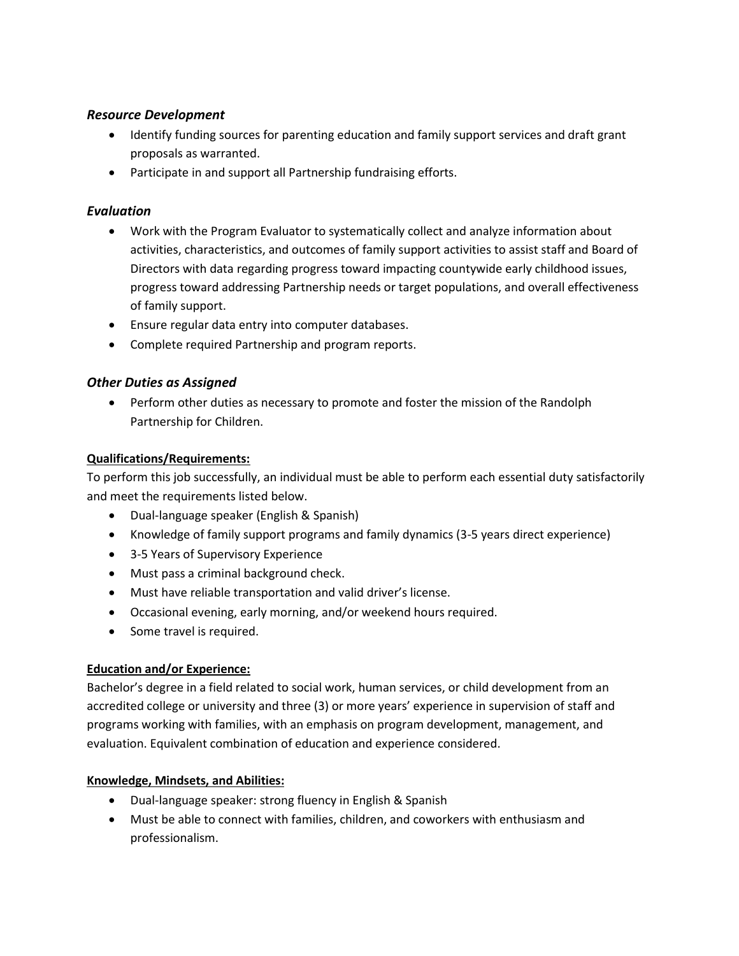### *Resource Development*

- Identify funding sources for parenting education and family support services and draft grant proposals as warranted.
- Participate in and support all Partnership fundraising efforts.

## *Evaluation*

- Work with the Program Evaluator to systematically collect and analyze information about activities, characteristics, and outcomes of family support activities to assist staff and Board of Directors with data regarding progress toward impacting countywide early childhood issues, progress toward addressing Partnership needs or target populations, and overall effectiveness of family support.
- Ensure regular data entry into computer databases.
- Complete required Partnership and program reports.

### *Other Duties as Assigned*

• Perform other duties as necessary to promote and foster the mission of the Randolph Partnership for Children.

### **Qualifications/Requirements:**

To perform this job successfully, an individual must be able to perform each essential duty satisfactorily and meet the requirements listed below.

- Dual-language speaker (English & Spanish)
- Knowledge of family support programs and family dynamics (3-5 years direct experience)
- 3-5 Years of Supervisory Experience
- Must pass a criminal background check.
- Must have reliable transportation and valid driver's license.
- Occasional evening, early morning, and/or weekend hours required.
- Some travel is required.

### **Education and/or Experience:**

Bachelor's degree in a field related to social work, human services, or child development from an accredited college or university and three (3) or more years' experience in supervision of staff and programs working with families, with an emphasis on program development, management, and evaluation. Equivalent combination of education and experience considered.

### **Knowledge, Mindsets, and Abilities:**

- Dual-language speaker: strong fluency in English & Spanish
- Must be able to connect with families, children, and coworkers with enthusiasm and professionalism.